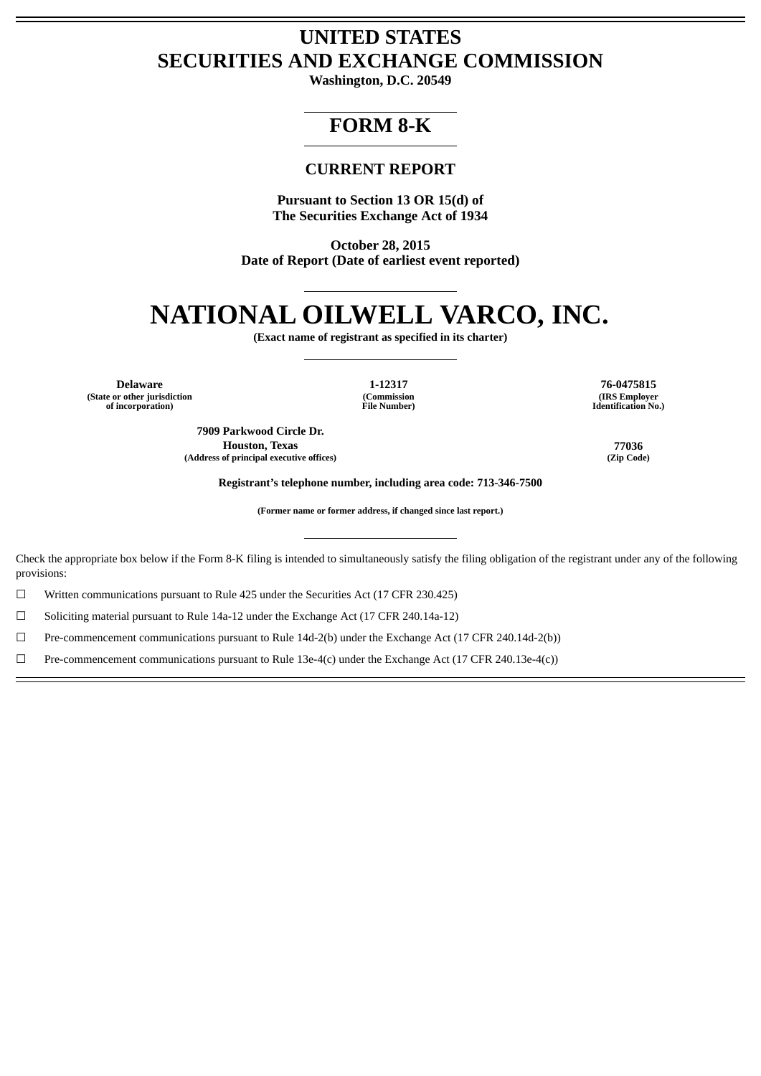## **UNITED STATES SECURITIES AND EXCHANGE COMMISSION**

**Washington, D.C. 20549**

## **FORM 8-K**

### **CURRENT REPORT**

**Pursuant to Section 13 OR 15(d) of The Securities Exchange Act of 1934**

**October 28, 2015 Date of Report (Date of earliest event reported)**

# **NATIONAL OILWELL VARCO, INC.**

**(Exact name of registrant as specified in its charter)**

**(State or other jurisdiction (Commission (IRS Employer of incorporation) File Number) Identification No.)**

**Delaware 1-12317 76-0475815**

**7909 Parkwood Circle Dr. Houston, Texas 77036 (Address of principal executive offices) (Zip Code)**

**Registrant's telephone number, including area code: 713-346-7500**

**(Former name or former address, if changed since last report.)**

Check the appropriate box below if the Form 8-K filing is intended to simultaneously satisfy the filing obligation of the registrant under any of the following provisions:

☐ Written communications pursuant to Rule 425 under the Securities Act (17 CFR 230.425)

☐ Soliciting material pursuant to Rule 14a-12 under the Exchange Act (17 CFR 240.14a-12)

☐ Pre-commencement communications pursuant to Rule 14d-2(b) under the Exchange Act (17 CFR 240.14d-2(b))

 $□$  Pre-commencement communications pursuant to Rule 13e-4(c) under the Exchange Act (17 CFR 240.13e-4(c))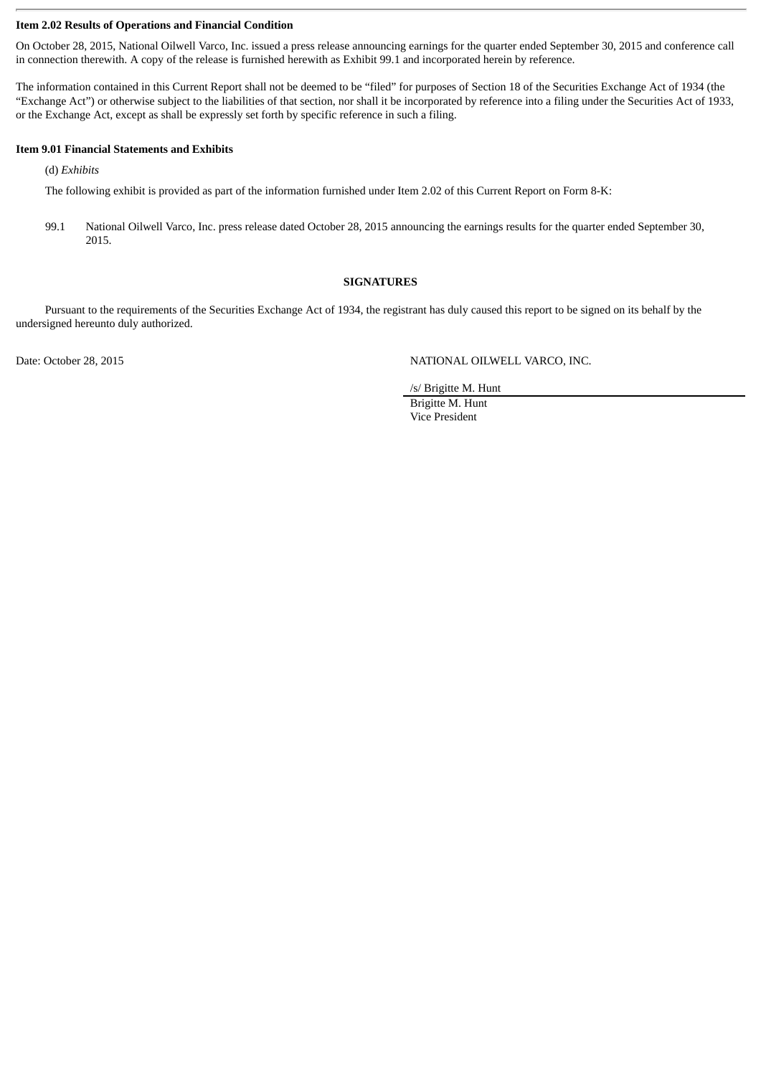#### **Item 2.02 Results of Operations and Financial Condition**

On October 28, 2015, National Oilwell Varco, Inc. issued a press release announcing earnings for the quarter ended September 30, 2015 and conference call in connection therewith. A copy of the release is furnished herewith as Exhibit 99.1 and incorporated herein by reference.

The information contained in this Current Report shall not be deemed to be "filed" for purposes of Section 18 of the Securities Exchange Act of 1934 (the "Exchange Act") or otherwise subject to the liabilities of that section, nor shall it be incorporated by reference into a filing under the Securities Act of 1933, or the Exchange Act, except as shall be expressly set forth by specific reference in such a filing.

#### **Item 9.01 Financial Statements and Exhibits**

(d) *Exhibits*

The following exhibit is provided as part of the information furnished under Item 2.02 of this Current Report on Form 8-K:

99.1 National Oilwell Varco, Inc. press release dated October 28, 2015 announcing the earnings results for the quarter ended September 30, 2015.

#### **SIGNATURES**

Pursuant to the requirements of the Securities Exchange Act of 1934, the registrant has duly caused this report to be signed on its behalf by the undersigned hereunto duly authorized.

Date: October 28, 2015 NATIONAL OILWELL VARCO, INC.

/s/ Brigitte M. Hunt

Brigitte M. Hunt Vice President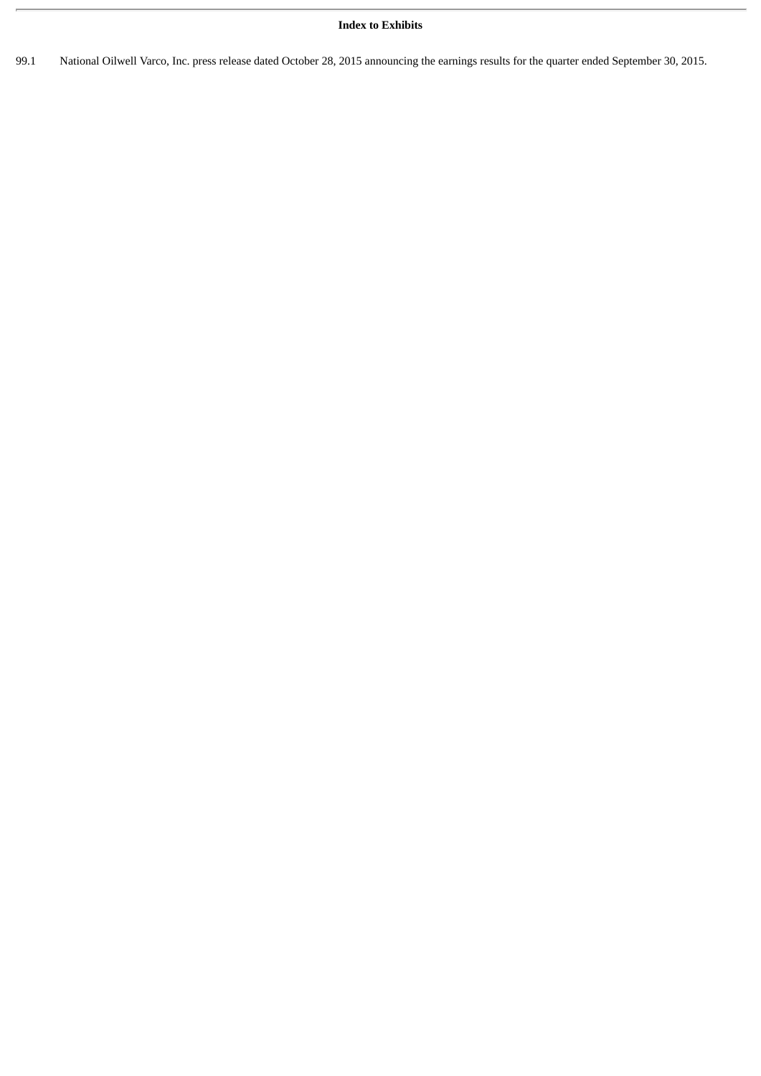#### **Index to Exhibits**

99.1 National Oilwell Varco, Inc. press release dated October 28, 2015 announcing the earnings results for the quarter ended September 30, 2015.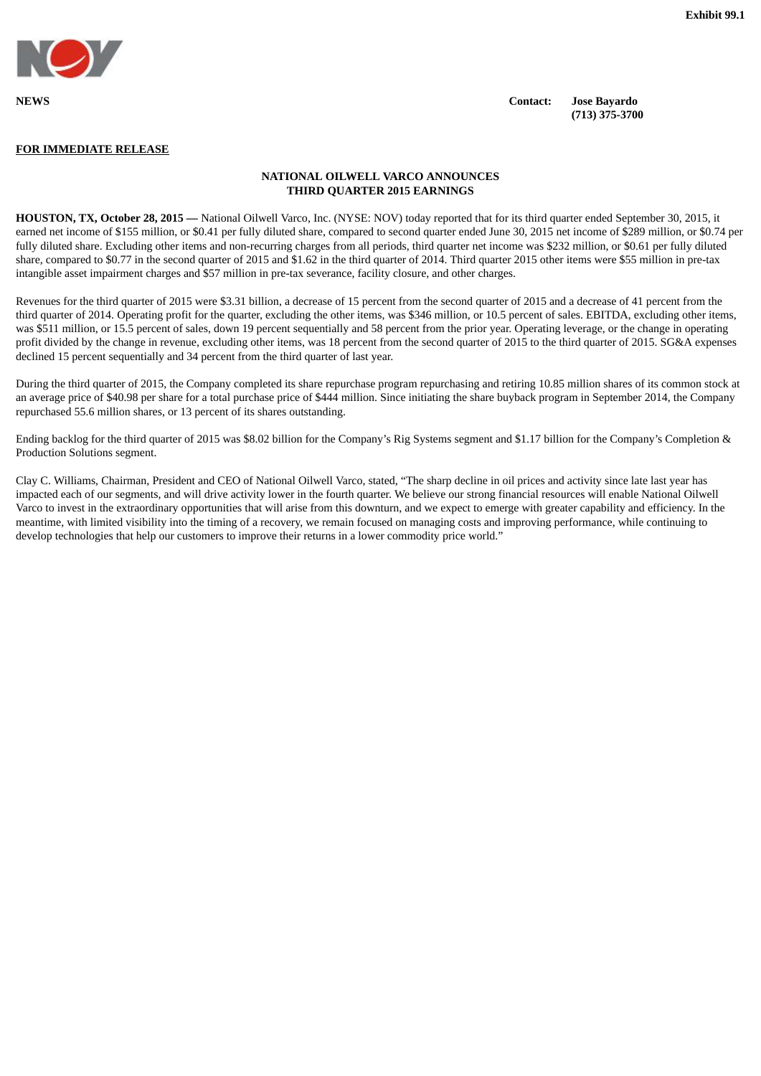

**NEWS Contact: Jose Bayardo (713) 375-3700**

#### **FOR IMMEDIATE RELEASE**

#### **NATIONAL OILWELL VARCO ANNOUNCES THIRD QUARTER 2015 EARNINGS**

**HOUSTON, TX, October 28, 2015 —** National Oilwell Varco, Inc. (NYSE: NOV) today reported that for its third quarter ended September 30, 2015, it earned net income of \$155 million, or \$0.41 per fully diluted share, compared to second quarter ended June 30, 2015 net income of \$289 million, or \$0.74 per fully diluted share. Excluding other items and non-recurring charges from all periods, third quarter net income was \$232 million, or \$0.61 per fully diluted share, compared to \$0.77 in the second quarter of 2015 and \$1.62 in the third quarter of 2014. Third quarter 2015 other items were \$55 million in pre-tax intangible asset impairment charges and \$57 million in pre-tax severance, facility closure, and other charges.

Revenues for the third quarter of 2015 were \$3.31 billion, a decrease of 15 percent from the second quarter of 2015 and a decrease of 41 percent from the third quarter of 2014. Operating profit for the quarter, excluding the other items, was \$346 million, or 10.5 percent of sales. EBITDA, excluding other items, was \$511 million, or 15.5 percent of sales, down 19 percent sequentially and 58 percent from the prior year. Operating leverage, or the change in operating profit divided by the change in revenue, excluding other items, was 18 percent from the second quarter of 2015 to the third quarter of 2015. SG&A expenses declined 15 percent sequentially and 34 percent from the third quarter of last year.

During the third quarter of 2015, the Company completed its share repurchase program repurchasing and retiring 10.85 million shares of its common stock at an average price of \$40.98 per share for a total purchase price of \$444 million. Since initiating the share buyback program in September 2014, the Company repurchased 55.6 million shares, or 13 percent of its shares outstanding.

Ending backlog for the third quarter of 2015 was \$8.02 billion for the Company's Rig Systems segment and \$1.17 billion for the Company's Completion & Production Solutions segment.

Clay C. Williams, Chairman, President and CEO of National Oilwell Varco, stated, "The sharp decline in oil prices and activity since late last year has impacted each of our segments, and will drive activity lower in the fourth quarter. We believe our strong financial resources will enable National Oilwell Varco to invest in the extraordinary opportunities that will arise from this downturn, and we expect to emerge with greater capability and efficiency. In the meantime, with limited visibility into the timing of a recovery, we remain focused on managing costs and improving performance, while continuing to develop technologies that help our customers to improve their returns in a lower commodity price world."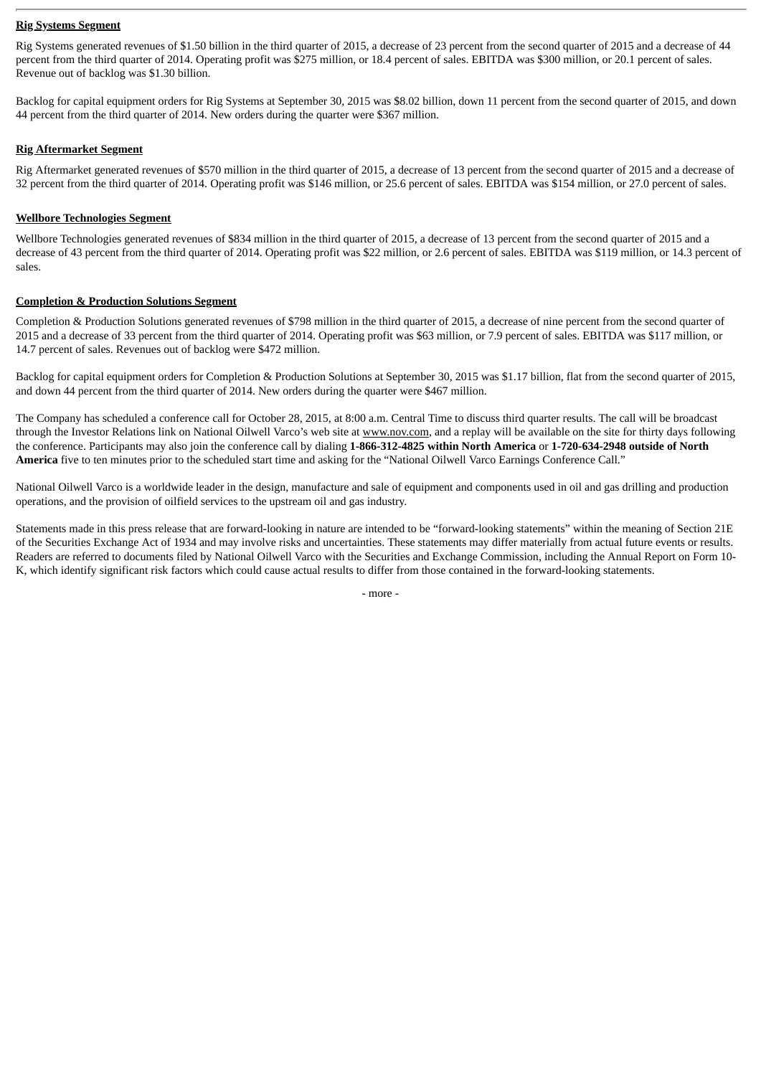#### **Rig Systems Segment**

Rig Systems generated revenues of \$1.50 billion in the third quarter of 2015, a decrease of 23 percent from the second quarter of 2015 and a decrease of 44 percent from the third quarter of 2014. Operating profit was \$275 million, or 18.4 percent of sales. EBITDA was \$300 million, or 20.1 percent of sales. Revenue out of backlog was \$1.30 billion.

Backlog for capital equipment orders for Rig Systems at September 30, 2015 was \$8.02 billion, down 11 percent from the second quarter of 2015, and down 44 percent from the third quarter of 2014. New orders during the quarter were \$367 million.

#### **Rig Aftermarket Segment**

Rig Aftermarket generated revenues of \$570 million in the third quarter of 2015, a decrease of 13 percent from the second quarter of 2015 and a decrease of 32 percent from the third quarter of 2014. Operating profit was \$146 million, or 25.6 percent of sales. EBITDA was \$154 million, or 27.0 percent of sales.

#### **Wellbore Technologies Segment**

Wellbore Technologies generated revenues of \$834 million in the third quarter of 2015, a decrease of 13 percent from the second quarter of 2015 and a decrease of 43 percent from the third quarter of 2014. Operating profit was \$22 million, or 2.6 percent of sales. EBITDA was \$119 million, or 14.3 percent of sales.

#### **Completion & Production Solutions Segment**

Completion & Production Solutions generated revenues of \$798 million in the third quarter of 2015, a decrease of nine percent from the second quarter of 2015 and a decrease of 33 percent from the third quarter of 2014. Operating profit was \$63 million, or 7.9 percent of sales. EBITDA was \$117 million, or 14.7 percent of sales. Revenues out of backlog were \$472 million.

Backlog for capital equipment orders for Completion & Production Solutions at September 30, 2015 was \$1.17 billion, flat from the second quarter of 2015, and down 44 percent from the third quarter of 2014. New orders during the quarter were \$467 million.

The Company has scheduled a conference call for October 28, 2015, at 8:00 a.m. Central Time to discuss third quarter results. The call will be broadcast through the Investor Relations link on National Oilwell Varco's web site at www.nov.com, and a replay will be available on the site for thirty days following the conference. Participants may also join the conference call by dialing **1-866-312-4825 within North America** or **1-720-634-2948 outside of North America** five to ten minutes prior to the scheduled start time and asking for the "National Oilwell Varco Earnings Conference Call."

National Oilwell Varco is a worldwide leader in the design, manufacture and sale of equipment and components used in oil and gas drilling and production operations, and the provision of oilfield services to the upstream oil and gas industry.

Statements made in this press release that are forward-looking in nature are intended to be "forward-looking statements" within the meaning of Section 21E of the Securities Exchange Act of 1934 and may involve risks and uncertainties. These statements may differ materially from actual future events or results. Readers are referred to documents filed by National Oilwell Varco with the Securities and Exchange Commission, including the Annual Report on Form 10- K, which identify significant risk factors which could cause actual results to differ from those contained in the forward-looking statements.

- more -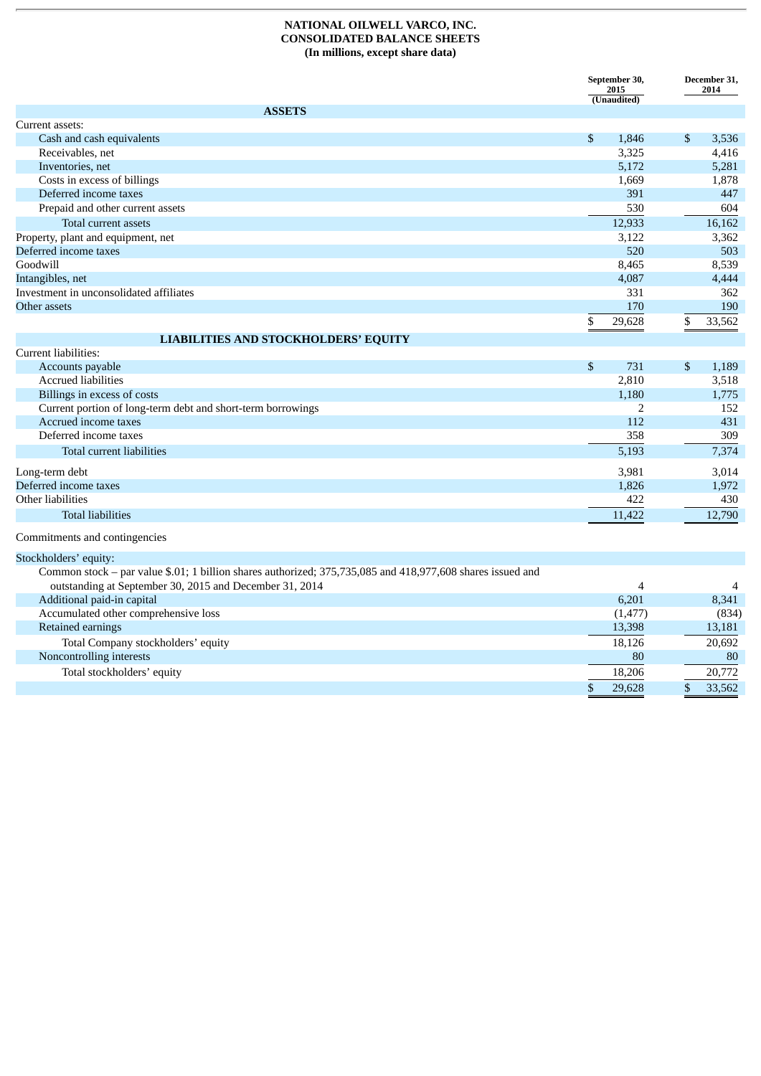#### **NATIONAL OILWELL VARCO, INC. CONSOLIDATED BALANCE SHEETS (In millions, except share data)**

|                                                                                                            | September 30,<br>2015<br>(Unaudited) |                |            | December 31,<br>2014 |
|------------------------------------------------------------------------------------------------------------|--------------------------------------|----------------|------------|----------------------|
| <b>ASSETS</b>                                                                                              |                                      |                |            |                      |
| Current assets:                                                                                            |                                      |                |            |                      |
| Cash and cash equivalents                                                                                  | \$                                   | 1,846          | \$         | 3,536                |
| Receivables, net                                                                                           |                                      | 3,325          |            | 4,416                |
| Inventories, net                                                                                           |                                      | 5,172          |            | 5,281                |
| Costs in excess of billings                                                                                |                                      | 1,669          |            | 1,878                |
| Deferred income taxes                                                                                      |                                      | 391            |            | 447                  |
| Prepaid and other current assets                                                                           |                                      | 530            |            | 604                  |
| Total current assets                                                                                       |                                      | 12,933         |            | 16,162               |
| Property, plant and equipment, net                                                                         |                                      | 3,122          |            | 3,362                |
| Deferred income taxes                                                                                      |                                      | 520            |            | 503                  |
| Goodwill                                                                                                   |                                      | 8,465          |            | 8,539                |
| Intangibles, net                                                                                           |                                      | 4,087          |            | 4,444                |
| Investment in unconsolidated affiliates                                                                    |                                      | 331            |            | 362                  |
| Other assets                                                                                               |                                      | 170            |            | 190                  |
|                                                                                                            | \$                                   | 29,628         | \$         | 33,562               |
| <b>LIABILITIES AND STOCKHOLDERS' EQUITY</b>                                                                |                                      |                |            |                      |
| Current liabilities:                                                                                       |                                      |                |            |                      |
| Accounts payable                                                                                           | \$                                   | 731            | \$         | 1,189                |
| <b>Accrued liabilities</b>                                                                                 |                                      | 2,810          |            | 3,518                |
| Billings in excess of costs                                                                                |                                      | 1,180          |            | 1,775                |
| Current portion of long-term debt and short-term borrowings                                                |                                      | $\overline{2}$ |            | 152                  |
| Accrued income taxes                                                                                       |                                      | 112            |            | 431                  |
| Deferred income taxes                                                                                      |                                      | 358            |            | 309                  |
| Total current liabilities                                                                                  |                                      | 5,193          |            | 7,374                |
|                                                                                                            |                                      |                |            |                      |
| Long-term debt<br>Deferred income taxes                                                                    |                                      | 3,981<br>1,826 |            | 3,014<br>1,972       |
| Other liabilities                                                                                          |                                      | 422            |            | 430                  |
| <b>Total liabilities</b>                                                                                   |                                      |                |            |                      |
|                                                                                                            |                                      | 11,422         |            | 12,790               |
| Commitments and contingencies                                                                              |                                      |                |            |                      |
| Stockholders' equity:                                                                                      |                                      |                |            |                      |
| Common stock - par value \$.01; 1 billion shares authorized; 375,735,085 and 418,977,608 shares issued and |                                      |                |            |                      |
| outstanding at September 30, 2015 and December 31, 2014                                                    |                                      | $\overline{4}$ |            | 4                    |
| Additional paid-in capital                                                                                 |                                      | 6,201          |            | 8,341                |
| Accumulated other comprehensive loss                                                                       |                                      | (1, 477)       |            | (834)                |
| Retained earnings                                                                                          |                                      | 13,398         |            | 13,181               |
| Total Company stockholders' equity                                                                         |                                      | 18,126         |            | 20,692               |
| Noncontrolling interests                                                                                   |                                      | 80             |            | 80                   |
| Total stockholders' equity                                                                                 |                                      | 18,206         |            | 20,772               |
|                                                                                                            | $\boldsymbol{\mathsf{S}}$            | 29,628         | $\sqrt{3}$ | 33,562               |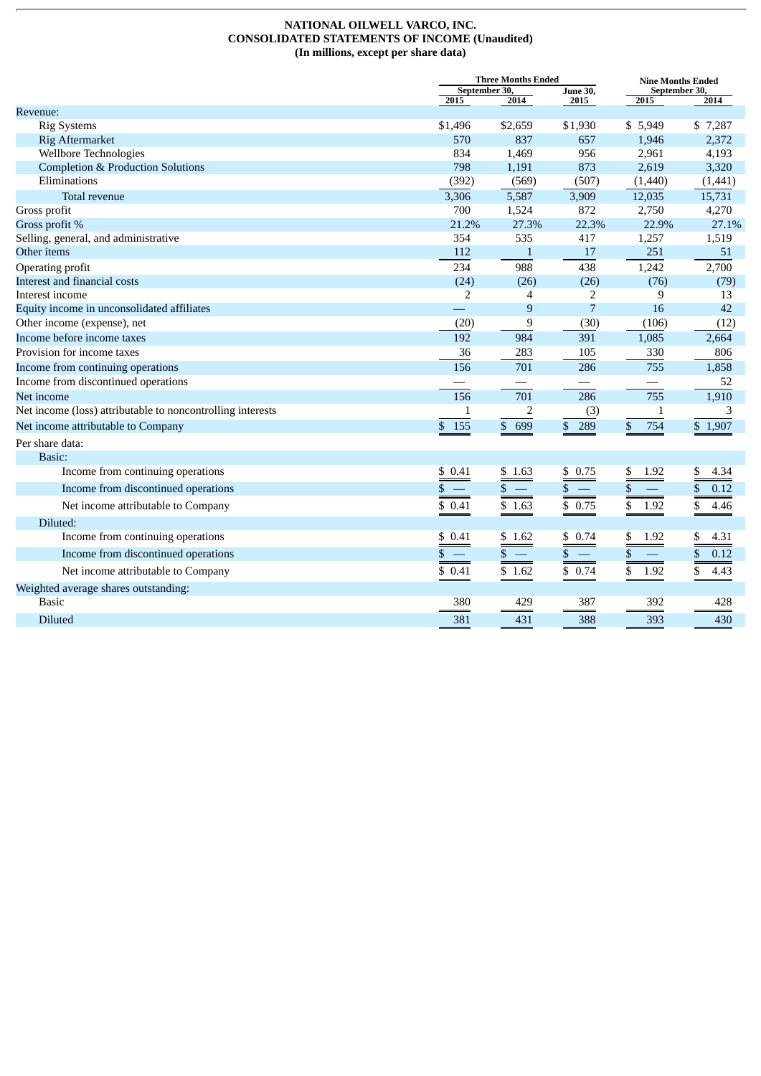#### **NATIONAL OILWELL VARCO, INC. CONSOLIDATED STATEMENTS OF INCOME (Unaudited) (In millions, except per share data)**

|                                                            |                                | <b>Three Months Ended</b>                |                                          |                          | <b>Nine Months Ended</b> |  |  |
|------------------------------------------------------------|--------------------------------|------------------------------------------|------------------------------------------|--------------------------|--------------------------|--|--|
|                                                            | September 30,<br>2015          | 2014                                     | <b>June 30,</b><br>2015                  | September 30,<br>2015    | 2014                     |  |  |
| Revenue:                                                   |                                |                                          |                                          |                          |                          |  |  |
| <b>Rig Systems</b>                                         | \$1,496                        | \$2,659                                  | \$1,930                                  | \$5,949                  | \$7,287                  |  |  |
| <b>Rig Aftermarket</b>                                     | 570                            | 837                                      | 657                                      | 1,946                    | 2,372                    |  |  |
| <b>Wellbore Technologies</b>                               | 834                            | 1,469                                    | 956                                      | 2,961                    | 4,193                    |  |  |
| <b>Completion &amp; Production Solutions</b>               | 798                            | 1,191                                    | 873                                      | 2,619                    | 3,320                    |  |  |
| Eliminations                                               | (392)                          | (569)                                    | (507)                                    | (1,440)                  | (1,441)                  |  |  |
| Total revenue                                              | 3,306                          | 5,587                                    | 3,909                                    | 12,035                   | 15,731                   |  |  |
| Gross profit                                               | 700                            | 1,524                                    | 872                                      | 2,750                    | 4,270                    |  |  |
| Gross profit %                                             | 21.2%                          | 27.3%                                    | 22.3%                                    | 22.9%                    | 27.1%                    |  |  |
| Selling, general, and administrative                       | 354                            | 535                                      | 417                                      | 1,257                    | 1,519                    |  |  |
| Other items                                                | 112                            | $\mathbf{1}$                             | 17                                       | 251                      | 51                       |  |  |
| Operating profit                                           | 234                            | 988                                      | 438                                      | 1,242                    | 2,700                    |  |  |
| Interest and financial costs                               | (24)                           | (26)                                     | (26)                                     | (76)                     | (79)                     |  |  |
| Interest income                                            | 2                              | 4                                        | $\overline{2}$                           | 9                        | 13                       |  |  |
| Equity income in unconsolidated affiliates                 | $\mathbb{R}^n$                 | 9                                        | $\overline{7}$                           | 16                       | 42                       |  |  |
| Other income (expense), net                                | (20)                           | 9                                        | (30)                                     | (106)                    | (12)                     |  |  |
| Income before income taxes                                 | 192                            | 984                                      | 391                                      | 1,085                    | 2,664                    |  |  |
| Provision for income taxes                                 | 36                             | 283                                      | 105                                      | 330                      | 806                      |  |  |
| Income from continuing operations                          | 156                            | 701                                      | 286                                      | 755                      | 1,858                    |  |  |
| Income from discontinued operations                        |                                |                                          | $\qquad \qquad -$                        | $\overline{\phantom{0}}$ | 52                       |  |  |
| Net income                                                 | 156                            | 701                                      | 286                                      | 755                      | 1,910                    |  |  |
| Net income (loss) attributable to noncontrolling interests | $\mathbf{1}$                   | $\overline{c}$                           | (3)                                      | $\mathbf{1}$             | 3                        |  |  |
| Net income attributable to Company                         | \$155                          | \$699                                    | \$<br>289                                | \$<br>754                | \$1,907                  |  |  |
| Per share data:                                            |                                |                                          |                                          |                          |                          |  |  |
| Basic:                                                     |                                |                                          |                                          |                          |                          |  |  |
| Income from continuing operations                          | \$0.41                         | \$1.63                                   | \$0.75                                   | \$<br>1.92               | \$<br>4.34               |  |  |
| Income from discontinued operations                        | \$<br>$\overline{\phantom{m}}$ | $\overline{\phantom{a}}$<br>$\mathbb{S}$ | $\mathbb{S}$<br>$\overline{\phantom{a}}$ | \$                       | \$<br>0.12               |  |  |
| Net income attributable to Company                         | \$0.41                         | \$1.63                                   | \$0.75                                   | \$<br>1.92               | \$<br>4.46               |  |  |
| Diluted:                                                   |                                |                                          |                                          |                          |                          |  |  |
| Income from continuing operations                          | \$0.41                         | \$1.62                                   | \$0.74                                   | \$<br>1.92               | \$<br>4.31               |  |  |
| Income from discontinued operations                        | \$                             | \$<br>$\overline{\phantom{m}}$           | \$<br>$\overline{\phantom{m}}$           | $\$$                     | \$<br>0.12               |  |  |
| Net income attributable to Company                         | \$0.41                         | \$1.62                                   | \$0.74                                   | \$<br>1.92               | \$<br>4.43               |  |  |
| Weighted average shares outstanding:                       |                                |                                          |                                          |                          |                          |  |  |
| <b>Basic</b>                                               | 380                            | 429                                      | 387                                      | 392                      | 428                      |  |  |
| <b>Diluted</b>                                             | 381                            | 431                                      | 388                                      | 393                      | 430                      |  |  |
|                                                            |                                |                                          |                                          |                          |                          |  |  |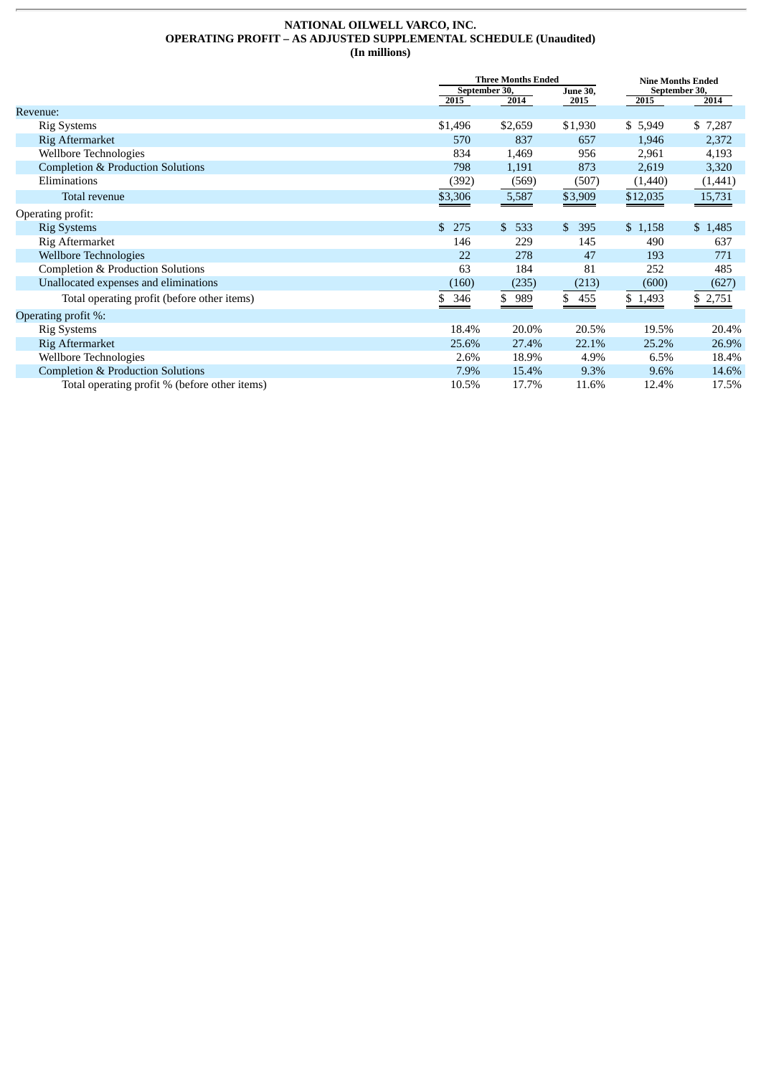#### **NATIONAL OILWELL VARCO, INC. OPERATING PROFIT – AS ADJUSTED SUPPLEMENTAL SCHEDULE (Unaudited) (In millions)**

|                                               |               | <b>Three Months Ended</b> |           |               | <b>Nine Months Ended</b> |  |  |
|-----------------------------------------------|---------------|---------------------------|-----------|---------------|--------------------------|--|--|
|                                               | September 30, | <b>June 30,</b>           |           | September 30, |                          |  |  |
|                                               | 2015          | 2014                      | 2015      | 2015          | 2014                     |  |  |
| Revenue:                                      |               |                           |           |               |                          |  |  |
| <b>Rig Systems</b>                            | \$1,496       | \$2,659                   | \$1,930   | \$5,949       | \$7,287                  |  |  |
| Rig Aftermarket                               | 570           | 837                       | 657       | 1,946         | 2,372                    |  |  |
| Wellbore Technologies                         | 834           | 1,469                     | 956       | 2,961         | 4,193                    |  |  |
| <b>Completion &amp; Production Solutions</b>  | 798           | 1,191                     | 873       | 2,619         | 3,320                    |  |  |
| Eliminations                                  | (392)         | (569)                     | (507)     | (1,440)       | (1, 441)                 |  |  |
| Total revenue                                 | \$3,306       | 5,587                     | \$3,909   | \$12,035      | 15,731                   |  |  |
| Operating profit:                             |               |                           |           |               |                          |  |  |
| <b>Rig Systems</b>                            | \$.<br>275    | \$533                     | 395<br>\$ | \$1,158       | \$1,485                  |  |  |
| Rig Aftermarket                               | 146           | 229                       | 145       | 490           | 637                      |  |  |
| <b>Wellbore Technologies</b>                  | 22            | 278                       | 47        | 193           | 771                      |  |  |
| Completion & Production Solutions             | 63            | 184                       | 81        | 252           | 485                      |  |  |
| Unallocated expenses and eliminations         | (160)         | (235)                     | (213)     | (600)         | (627)                    |  |  |
| Total operating profit (before other items)   | 346<br>\$     | \$989                     | \$455     | \$1,493       | \$2,751                  |  |  |
| Operating profit %:                           |               |                           |           |               |                          |  |  |
| <b>Rig Systems</b>                            | 18.4%         | 20.0%                     | 20.5%     | 19.5%         | 20.4%                    |  |  |
| Rig Aftermarket                               | 25.6%         | 27.4%                     | 22.1%     | 25.2%         | 26.9%                    |  |  |
| Wellbore Technologies                         | 2.6%          | 18.9%                     | 4.9%      | 6.5%          | 18.4%                    |  |  |
| <b>Completion &amp; Production Solutions</b>  | 7.9%          | 15.4%                     | 9.3%      | 9.6%          | 14.6%                    |  |  |
| Total operating profit % (before other items) | 10.5%         | 17.7%                     | 11.6%     | 12.4%         | 17.5%                    |  |  |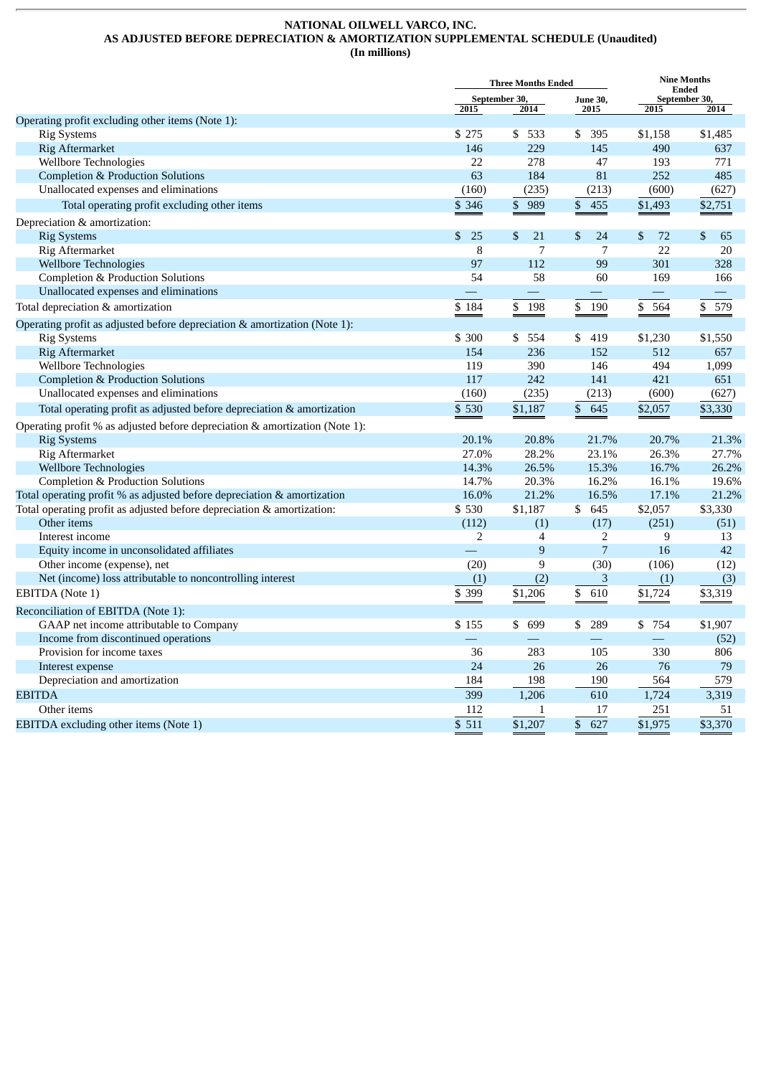#### **NATIONAL OILWELL VARCO, INC. AS ADJUSTED BEFORE DEPRECIATION & AMORTIZATION SUPPLEMENTAL SCHEDULE (Unaudited) (In millions)**

|                                                                             | <b>Three Months Ended</b> |                                  |                | <b>Nine Months</b><br><b>Ended</b>                                                                                                                                                                                             |           |  |
|-----------------------------------------------------------------------------|---------------------------|----------------------------------|----------------|--------------------------------------------------------------------------------------------------------------------------------------------------------------------------------------------------------------------------------|-----------|--|
|                                                                             |                           | September 30,<br><b>June 30,</b> |                | September 30,                                                                                                                                                                                                                  |           |  |
|                                                                             | 2015                      | 2014                             | 2015           | 2015                                                                                                                                                                                                                           | 2014      |  |
| Operating profit excluding other items (Note 1):                            |                           |                                  |                |                                                                                                                                                                                                                                |           |  |
| <b>Rig Systems</b>                                                          | \$275                     | \$<br>533                        | \$<br>395      | \$1,158                                                                                                                                                                                                                        | \$1,485   |  |
| <b>Rig Aftermarket</b>                                                      | 146                       | 229                              | 145            | 490                                                                                                                                                                                                                            | 637       |  |
| Wellbore Technologies                                                       | 22                        | 278                              | 47             | 193                                                                                                                                                                                                                            | 771       |  |
| <b>Completion &amp; Production Solutions</b>                                | 63                        | 184                              | 81             | 252                                                                                                                                                                                                                            | 485       |  |
| Unallocated expenses and eliminations                                       | (160)                     | (235)                            | (213)          | (600)                                                                                                                                                                                                                          | (627)     |  |
| Total operating profit excluding other items                                | \$ 346                    | $\mathfrak{S}$<br>989            | \$<br>455      | \$1,493                                                                                                                                                                                                                        | \$2,751   |  |
| Depreciation & amortization:                                                |                           |                                  |                |                                                                                                                                                                                                                                |           |  |
| <b>Rig Systems</b>                                                          | \$<br>25                  | \$<br>21                         | \$<br>24       | \$<br>72                                                                                                                                                                                                                       | \$<br>65  |  |
| Rig Aftermarket                                                             | 8                         | $\overline{7}$                   | $\overline{7}$ | 22                                                                                                                                                                                                                             | 20        |  |
| <b>Wellbore Technologies</b>                                                | 97                        | 112                              | 99             | 301                                                                                                                                                                                                                            | 328       |  |
| <b>Completion &amp; Production Solutions</b>                                | 54                        | 58                               | 60             | 169                                                                                                                                                                                                                            | 166       |  |
| Unallocated expenses and eliminations                                       |                           | $\overline{\phantom{m}}$         |                | $\overline{\phantom{m}}$                                                                                                                                                                                                       |           |  |
| Total depreciation & amortization                                           | \$184                     | \$<br>198                        | \$<br>190      | \$<br>564                                                                                                                                                                                                                      | 579<br>\$ |  |
| Operating profit as adjusted before depreciation & amortization (Note 1):   |                           |                                  |                |                                                                                                                                                                                                                                |           |  |
| <b>Rig Systems</b>                                                          | \$ 300                    | 554<br>\$                        | \$<br>419      | \$1,230                                                                                                                                                                                                                        | \$1,550   |  |
| <b>Rig Aftermarket</b>                                                      | 154                       | 236                              | 152            | 512                                                                                                                                                                                                                            | 657       |  |
| Wellbore Technologies                                                       | 119                       | 390                              | 146            | 494                                                                                                                                                                                                                            | 1,099     |  |
| <b>Completion &amp; Production Solutions</b>                                | 117                       | 242                              | 141            | 421                                                                                                                                                                                                                            | 651       |  |
| Unallocated expenses and eliminations                                       | (160)                     | (235)                            | (213)          | (600)                                                                                                                                                                                                                          | (627)     |  |
| Total operating profit as adjusted before depreciation & amortization       | \$530                     | \$1,187                          | \$<br>645      | \$2,057                                                                                                                                                                                                                        | \$3,330   |  |
| Operating profit % as adjusted before depreciation & amortization (Note 1): |                           |                                  |                |                                                                                                                                                                                                                                |           |  |
| <b>Rig Systems</b>                                                          | 20.1%                     | 20.8%                            | 21.7%          | 20.7%                                                                                                                                                                                                                          | 21.3%     |  |
| Rig Aftermarket                                                             | 27.0%                     | 28.2%                            | 23.1%          | 26.3%                                                                                                                                                                                                                          | 27.7%     |  |
| <b>Wellbore Technologies</b>                                                | 14.3%                     | 26.5%                            | 15.3%          | 16.7%                                                                                                                                                                                                                          | 26.2%     |  |
| <b>Completion &amp; Production Solutions</b>                                | 14.7%                     | 20.3%                            | 16.2%          | 16.1%                                                                                                                                                                                                                          | 19.6%     |  |
| Total operating profit % as adjusted before depreciation & amortization     | 16.0%                     | 21.2%                            | 16.5%          | 17.1%                                                                                                                                                                                                                          | 21.2%     |  |
| Total operating profit as adjusted before depreciation & amortization:      | \$530                     | \$1,187                          | \$645          | \$2,057                                                                                                                                                                                                                        | \$3,330   |  |
| Other items                                                                 | (112)                     | (1)                              | (17)           | (251)                                                                                                                                                                                                                          | (51)      |  |
| Interest income                                                             | 2                         | $\overline{4}$                   | 2              | 9                                                                                                                                                                                                                              | 13        |  |
| Equity income in unconsolidated affiliates                                  |                           | $\overline{9}$                   | $\overline{7}$ | 16                                                                                                                                                                                                                             | 42        |  |
| Other income (expense), net                                                 | (20)                      | 9                                | (30)           | (106)                                                                                                                                                                                                                          | (12)      |  |
| Net (income) loss attributable to noncontrolling interest                   | (1)                       | (2)                              | 3              | (1)                                                                                                                                                                                                                            | (3)       |  |
| EBITDA (Note 1)                                                             | \$ 399                    | \$1,206                          | \$<br>610      | \$1,724                                                                                                                                                                                                                        | \$3,319   |  |
|                                                                             |                           |                                  |                |                                                                                                                                                                                                                                |           |  |
| Reconciliation of EBITDA (Note 1):                                          |                           |                                  |                |                                                                                                                                                                                                                                |           |  |
| GAAP net income attributable to Company                                     | \$155                     | \$<br>699                        | \$<br>289      | \$ 754                                                                                                                                                                                                                         | \$1,907   |  |
| Income from discontinued operations                                         |                           |                                  |                | and the contract of the contract of the contract of the contract of the contract of the contract of the contract of the contract of the contract of the contract of the contract of the contract of the contract of the contra | (52)      |  |
| Provision for income taxes                                                  | 36                        | 283                              | 105            | 330                                                                                                                                                                                                                            | 806       |  |
| Interest expense                                                            | 24                        | 26                               | 26             | 76                                                                                                                                                                                                                             | 79        |  |
| Depreciation and amortization                                               | 184                       | 198                              | 190            | 564                                                                                                                                                                                                                            | 579       |  |
| <b>EBITDA</b>                                                               | 399                       | 1.206                            | 610            | 1,724                                                                                                                                                                                                                          | 3,319     |  |
| Other items                                                                 | 112                       | 1                                | 17             | 251                                                                                                                                                                                                                            | 51        |  |
| EBITDA excluding other items (Note 1)                                       | $\mathbb{S}$<br>511       | \$1,207                          | \$<br>627      | \$1,975                                                                                                                                                                                                                        | \$3,370   |  |